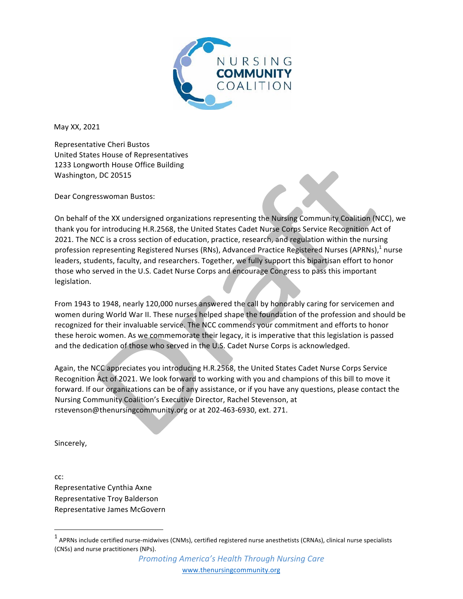

May XX, 2021

Representative Cheri Bustos United States House of Representatives 1233 Longworth House Office Building Washington, DC 20515

Dear Congresswoman Bustos:

On behalf of the XX undersigned organizations representing the Nursing Community Coalition (NCC), we thank you for introducing H.R.2568, the United States Cadet Nurse Corps Service Recognition Act of 2021. The NCC is a cross section of education, practice, research, and regulation within the nursing profession representing Registered Nurses (RNs), Advanced Practice Registered Nurses (APRNs),<sup>1</sup> nurse leaders, students, faculty, and researchers. Together, we fully support this bipartisan effort to honor those who served in the U.S. Cadet Nurse Corps and encourage Congress to pass this important legislation.

From 1943 to 1948, nearly 120,000 nurses answered the call by honorably caring for servicemen and women during World War II. These nurses helped shape the foundation of the profession and should be recognized for their invaluable service. The NCC commends your commitment and efforts to honor these heroic women. As we commemorate their legacy, it is imperative that this legislation is passed and the dedication of those who served in the U.S. Cadet Nurse Corps is acknowledged.

Again, the NCC appreciates you introducing H.R.2568, the United States Cadet Nurse Corps Service Recognition Act of 2021. We look forward to working with you and champions of this bill to move it forward. If our organizations can be of any assistance, or if you have any questions, please contact the Nursing Community Coalition's Executive Director, Rachel Stevenson, at rstevenson@thenursingcommunity.org or at 202-463-6930, ext. 271.

Sincerely,

cc: Representative Cynthia Axne Representative Troy Balderson Representative James McGovern

<u> 1989 - Johann Stein, fransk politik (d. 1989)</u>

 $1$  APRNs include certified nurse-midwives (CNMs), certified registered nurse anesthetists (CRNAs), clinical nurse specialists (CNSs) and nurse practitioners (NPs).